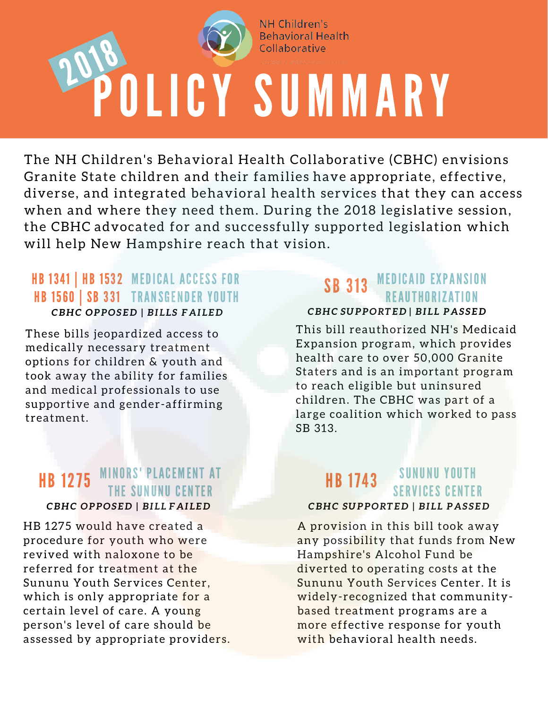

**NH Children's Behavioral Health** Collaborative

# OLICY SUMMARY 2018

The NH Children's Behavioral Health Collaborative (CBHC) envisions Granite State children and their families have appropriate, effective, diverse, and integrated behavioral health services that they can access when and where they need them. During the 2018 legislative session, the CBHC advocated for and successfully supported legislation which will help New Hampshire reach that vision.

# *CBHC OPPOSED | BILLS FAILED* **HB 1341 | HB 1532 MEDICAL ACCESS FOR HB 1560 | SB 331 TRANSGENDER YOUTH**

These bills jeopardized access to medically necessary treatment options for children & youth and took away the ability for families and medical professionals to use supportive and gender-affirming treatment.

## MINORS' PLACEMENT AT THE SUNUNU CENTER HB 1275 *CBHC OPPOSED | BILL FAILED*

HB 1275 would have created a procedure for youth who were revived with naloxone to be referred for treatment at the Sununu Youth Services Center, which is only appropriate for a certain level of care. A young person's level of care should be assessed by appropriate providers.

# SB 313 MEDICAID EXPANSION REAUTHORIZATION *CBHC SUPPORTED | BILL PASSED*

This bill reauthorized NH's Medicaid Expansion program, which provides health care to over 50,000 Granite Staters and is an important program to reach eligible but uninsured children. The CBHC was part of a large coalition which worked to pass SB 313.

#### SUNUNU YOUTH SERVICES CENTER HB 1743 *CBHC SUPPORTED | BILL PASSED*

A provision in this bill took away any possibility that funds from New Hampshire's Alcohol Fund be diverted to operating costs at the Sununu Youth Services Center. It is widely-recognized that communitybased treatment programs are a more effective response for youth with behavioral health needs.